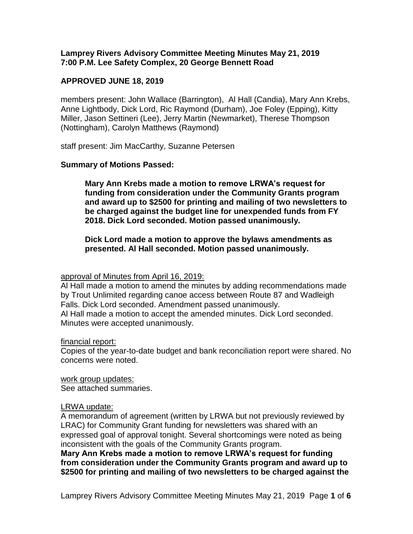## **Lamprey Rivers Advisory Committee Meeting Minutes May 21, 2019 7:00 P.M. Lee Safety Complex, 20 George Bennett Road**

# **APPROVED JUNE 18, 2019**

members present: John Wallace (Barrington), Al Hall (Candia), Mary Ann Krebs, Anne Lightbody, Dick Lord, Ric Raymond (Durham), Joe Foley (Epping), Kitty Miller, Jason Settineri (Lee), Jerry Martin (Newmarket), Therese Thompson (Nottingham), Carolyn Matthews (Raymond)

staff present: Jim MacCarthy, Suzanne Petersen

# **Summary of Motions Passed:**

**Mary Ann Krebs made a motion to remove LRWA's request for funding from consideration under the Community Grants program and award up to \$2500 for printing and mailing of two newsletters to be charged against the budget line for unexpended funds from FY 2018. Dick Lord seconded. Motion passed unanimously.** 

**Dick Lord made a motion to approve the bylaws amendments as presented. Al Hall seconded. Motion passed unanimously.** 

# approval of Minutes from April 16, 2019:

Al Hall made a motion to amend the minutes by adding recommendations made by Trout Unlimited regarding canoe access between Route 87 and Wadleigh Falls. Dick Lord seconded. Amendment passed unanimously. Al Hall made a motion to accept the amended minutes. Dick Lord seconded. Minutes were accepted unanimously.

## financial report:

Copies of the year-to-date budget and bank reconciliation report were shared. No concerns were noted.

work group updates: See attached summaries.

## LRWA update:

A memorandum of agreement (written by LRWA but not previously reviewed by LRAC) for Community Grant funding for newsletters was shared with an expressed goal of approval tonight. Several shortcomings were noted as being inconsistent with the goals of the Community Grants program.

**Mary Ann Krebs made a motion to remove LRWA's request for funding from consideration under the Community Grants program and award up to \$2500 for printing and mailing of two newsletters to be charged against the**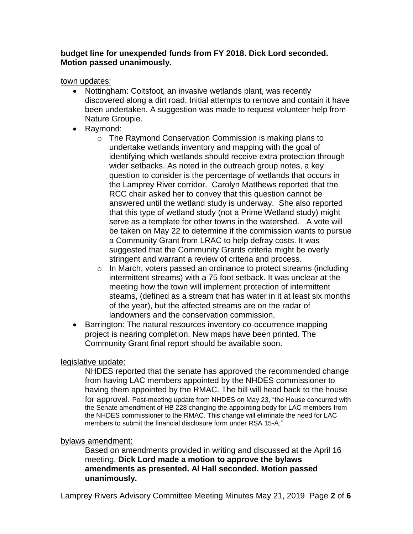# **budget line for unexpended funds from FY 2018. Dick Lord seconded. Motion passed unanimously.**

# town updates:

- Nottingham: Coltsfoot, an invasive wetlands plant, was recently discovered along a dirt road. Initial attempts to remove and contain it have been undertaken. A suggestion was made to request volunteer help from Nature Groupie.
- Raymond:
	- o The Raymond Conservation Commission is making plans to undertake wetlands inventory and mapping with the goal of identifying which wetlands should receive extra protection through wider setbacks. As noted in the outreach group notes, a key question to consider is the percentage of wetlands that occurs in the Lamprey River corridor. Carolyn Matthews reported that the RCC chair asked her to convey that this question cannot be answered until the wetland study is underway. She also reported that this type of wetland study (not a Prime Wetland study) might serve as a template for other towns in the watershed. A vote will be taken on May 22 to determine if the commission wants to pursue a Community Grant from LRAC to help defray costs. It was suggested that the Community Grants criteria might be overly stringent and warrant a review of criteria and process.
	- o In March, voters passed an ordinance to protect streams (including intermittent streams) with a 75 foot setback. It was unclear at the meeting how the town will implement protection of intermittent steams, (defined as a stream that has water in it at least six months of the year), but the affected streams are on the radar of landowners and the conservation commission.
- Barrington: The natural resources inventory co-occurrence mapping project is nearing completion. New maps have been printed. The Community Grant final report should be available soon.

# legislative update:

NHDES reported that the senate has approved the recommended change from having LAC members appointed by the NHDES commissioner to having them appointed by the RMAC. The bill will head back to the house for approval. Post-meeting update from NHDES on May 23, "the House concurred with the Senate amendment of HB 228 changing the appointing body for LAC members from the NHDES commissioner to the RMAC. This change will eliminate the need for LAC members to submit the financial disclosure form under RSA 15-A."

# bylaws amendment:

Based on amendments provided in writing and discussed at the April 16 meeting, **Dick Lord made a motion to approve the bylaws amendments as presented. Al Hall seconded. Motion passed unanimously.**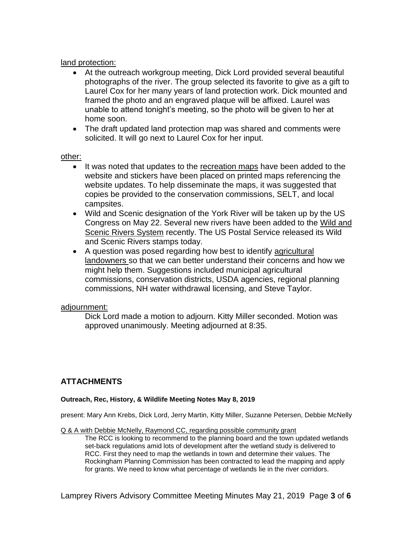## land protection:

- At the outreach workgroup meeting, Dick Lord provided several beautiful photographs of the river. The group selected its favorite to give as a gift to Laurel Cox for her many years of land protection work. Dick mounted and framed the photo and an engraved plaque will be affixed. Laurel was unable to attend tonight's meeting, so the photo will be given to her at home soon.
- The draft updated land protection map was shared and comments were solicited. It will go next to Laurel Cox for her input.

## other:

- It was noted that updates to the recreation maps have been added to the website and stickers have been placed on printed maps referencing the website updates. To help disseminate the maps, it was suggested that copies be provided to the conservation commissions, SELT, and local campsites.
- Wild and Scenic designation of the York River will be taken up by the US Congress on May 22. Several new rivers have been added to the Wild and Scenic Rivers System recently. The US Postal Service released its Wild and Scenic Rivers stamps today.
- A question was posed regarding how best to identify agricultural landowners so that we can better understand their concerns and how we might help them. Suggestions included municipal agricultural commissions, conservation districts, USDA agencies, regional planning commissions, NH water withdrawal licensing, and Steve Taylor.

# adjournment:

Dick Lord made a motion to adjourn. Kitty Miller seconded. Motion was approved unanimously. Meeting adjourned at 8:35.

# **ATTACHMENTS**

## **Outreach, Rec, History, & Wildlife Meeting Notes May 8, 2019**

present: Mary Ann Krebs, Dick Lord, Jerry Martin, Kitty Miller, Suzanne Petersen, Debbie McNelly

Q & A with Debbie McNelly, Raymond CC, regarding possible community grant

The RCC is looking to recommend to the planning board and the town updated wetlands set-back regulations amid lots of development after the wetland study is delivered to RCC. First they need to map the wetlands in town and determine their values. The Rockingham Planning Commission has been contracted to lead the mapping and apply for grants. We need to know what percentage of wetlands lie in the river corridors.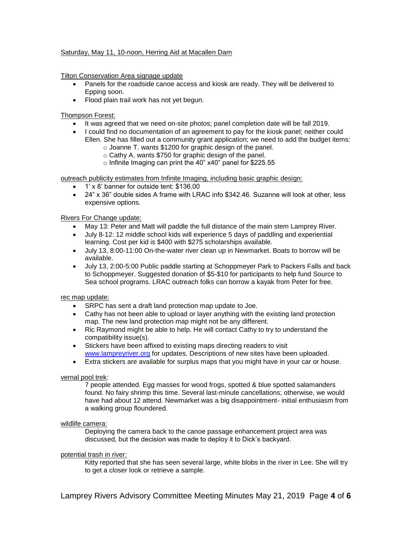### Saturday, May 11, 10-noon, Herring Aid at Macallen Dam

Tilton Conservation Area signage update

- Panels for the roadside canoe access and kiosk are ready. They will be delivered to Epping soon.
- Flood plain trail work has not yet begun.

Thompson Forest:

- It was agreed that we need on-site photos; panel completion date will be fall 2019.
- I could find no documentation of an agreement to pay for the kiosk panel; neither could Ellen. She has filled out a community grant application; we need to add the budget items:
	- o Joanne T. wants \$1200 for graphic design of the panel.
	- o Cathy A. wants \$750 for graphic design of the panel.
	- o Infinite Imaging can print the 40" x40" panel for \$225.55

outreach publicity estimates from Infinite Imaging, including basic graphic design:

- 1' x 8' banner for outside tent: \$136.00
- 24" x 36" double sides A frame with LRAC info \$342.46. Suzanne will look at other, less expensive options.

Rivers For Change update:

- May 13: Peter and Matt will paddle the full distance of the main stem Lamprey River.
- July 8-12: 12 middle school kids will experience 5 days of paddling and experiential learning. Cost per kid is \$400 with \$275 scholarships available.
- July 13, 8:00-11:00 On-the-water river clean up in Newmarket. Boats to borrow will be available.
- July 13, 2:00-5:00 Public paddle starting at Schoppmeyer Park to Packers Falls and back to Schoppmeyer. Suggested donation of \$5-\$10 for participants to help fund Source to Sea school programs. LRAC outreach folks can borrow a kayak from Peter for free.

rec map update:

- SRPC has sent a draft land protection map update to Joe.
- Cathy has not been able to upload or layer anything with the existing land protection map. The new land protection map might not be any different.
- Ric Raymond might be able to help. He will contact Cathy to try to understand the compatibility issue(s).
- Stickers have been affixed to existing maps directing readers to visit [www.lampreyriver.org](http://www.lampreyriver.org/) for updates. Descriptions of new sites have been uploaded.
- Extra stickers are available for surplus maps that you might have in your car or house.

### vernal pool trek:

7 people attended. Egg masses for wood frogs, spotted & blue spotted salamanders found. No fairy shrimp this time. Several last-minute cancellations; otherwise, we would have had about 12 attend. Newmarket was a big disappointment- initial enthusiasm from a walking group floundered.

### wildlife camera:

Deploying the camera back to the canoe passage enhancement project area was discussed, but the decision was made to deploy it to Dick's backyard.

### potential trash in river:

Kitty reported that she has seen several large, white blobs in the river in Lee. She will try to get a closer look or retrieve a sample.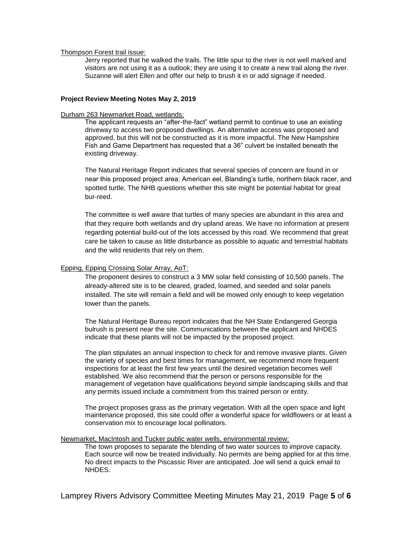### Thompson Forest trail issue:

Jerry reported that he walked the trails. The little spur to the river is not well marked and visitors are not using it as a outlook; they are using it to create a new trail along the river. Suzanne will alert Ellen and offer our help to brush it in or add signage if needed.

### **Project Review Meeting Notes May 2, 2019**

### Durham 263 Newmarket Road, wetlands:

The applicant requests an "after-the-fact" wetland permit to continue to use an existing driveway to access two proposed dwellings. An alternative access was proposed and approved, but this will not be constructed as it is more impactful. The New Hampshire Fish and Game Department has requested that a 36" culvert be installed beneath the existing driveway.

The Natural Heritage Report indicates that several species of concern are found in or near this proposed project area: American eel, Blanding's turtle, northern black racer, and spotted turtle. The NHB questions whether this site might be potential habitat for great bur-reed.

The committee is well aware that turtles of many species are abundant in this area and that they require both wetlands and dry upland areas. We have no information at present regarding potential build-out of the lots accessed by this road. We recommend that great care be taken to cause as little disturbance as possible to aquatic and terrestrial habitats and the wild residents that rely on them.

### Epping, Epping Crossing Solar Array, AoT:

The proponent desires to construct a 3 MW solar field consisting of 10,500 panels. The already-altered site is to be cleared, graded, loamed, and seeded and solar panels installed. The site will remain a field and will be mowed only enough to keep vegetation lower than the panels.

The Natural Heritage Bureau report indicates that the NH State Endangered Georgia bulrush is present near the site. Communications between the applicant and NHDES indicate that these plants will not be impacted by the proposed project.

The plan stipulates an annual inspection to check for and remove invasive plants. Given the variety of species and best times for management, we recommend more frequent inspections for at least the first few years until the desired vegetation becomes well established. We also recommend that the person or persons responsible for the management of vegetation have qualifications beyond simple landscaping skills and that any permits issued include a commitment from this trained person or entity.

The project proposes grass as the primary vegetation. With all the open space and light maintenance proposed, this site could offer a wonderful space for wildflowers or at least a conservation mix to encourage local pollinators.

### Newmarket, MacIntosh and Tucker public water wells, environmental review:

The town proposes to separate the blending of two water sources to improve capacity. Each source will now be treated individually. No permits are being applied for at this time. No direct impacts to the Piscassic River are anticipated. Joe will send a quick email to NHDES.